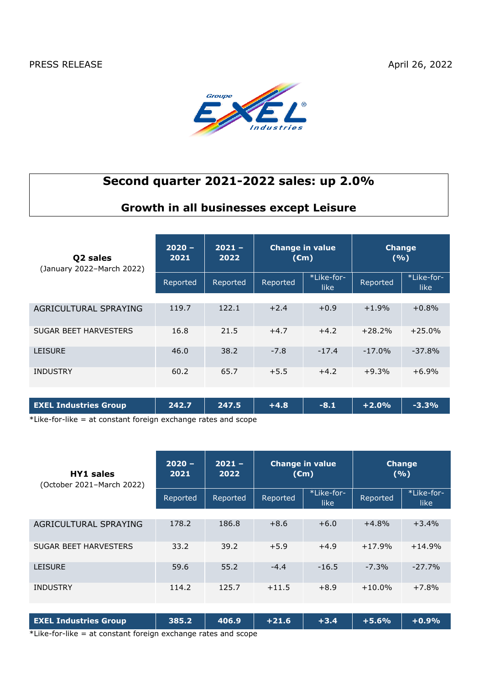

# **Second quarter 2021-2022 sales: up 2.0%**

## **Growth in all businesses except Leisure**

| Q <sub>2</sub> sales<br>(January 2022-March 2022) | $2020 -$<br>2021 | $2021 -$<br>2022 | <b>Change in value</b><br>$(\epsilon m)$ |                           | <b>Change</b><br>(9/6) |                    |
|---------------------------------------------------|------------------|------------------|------------------------------------------|---------------------------|------------------------|--------------------|
|                                                   | Reported         | Reported         | Reported                                 | *Like-for-<br><b>like</b> | Reported               | *Like-for-<br>like |
| AGRICULTURAL SPRAYING                             | 119.7            | 122.1            | $+2.4$                                   | $+0.9$                    | $+1.9%$                | $+0.8%$            |
| SUGAR BEET HARVESTERS                             | 16.8             | 21.5             | $+4.7$                                   | $+4.2$                    | $+28.2%$               | $+25.0%$           |
| <b>LEISURE</b>                                    | 46.0             | 38.2             | $-7.8$                                   | $-17.4$                   | $-17.0%$               | $-37.8%$           |
| <b>INDUSTRY</b>                                   | 60.2             | 65.7             | $+5.5$                                   | $+4.2$                    | $+9.3%$                | $+6.9%$            |
|                                                   |                  |                  |                                          |                           |                        |                    |
| <b>EXEL Industries Group</b>                      | 242.7            | 247.5            | $+4.8$                                   | $-8.1$                    | $+2.0%$                | $-3.3%$            |

\*Like-for-like = at constant foreign exchange rates and scope

| <b>HY1</b> sales<br>(October 2021-March 2022) | $2020 -$<br>2021 | $2021 -$<br>2022 | <b>Change in value</b><br>$(\epsilon m)$ |                     | <b>Change</b><br>(9/6) |                     |
|-----------------------------------------------|------------------|------------------|------------------------------------------|---------------------|------------------------|---------------------|
|                                               | Reported         | Reported         | Reported                                 | *Like-for-<br>like. | Reported               | *Like-for-<br>like. |
|                                               |                  |                  |                                          |                     |                        |                     |
| AGRICULTURAL SPRAYING                         | 178.2            | 186.8            | $+8.6$                                   | $+6.0$              | $+4.8%$                | $+3.4%$             |
| <b>SUGAR BEET HARVESTERS</b>                  | 33.2             | 39.2             | $+5.9$                                   | $+4.9$              | $+17.9%$               | $+14.9%$            |
| <b>LEISURE</b>                                | 59.6             | 55.2             | $-4.4$                                   | $-16.5$             | $-7.3%$                | $-27.7%$            |
| <b>INDUSTRY</b>                               | 114.2            | 125.7            | $+11.5$                                  | $+8.9$              | $+10.0%$               | $+7.8%$             |

| <b>EXEL Industries Group</b>                                       | $385.2$ 406.9 +21.6 $\blacksquare$ |  | $+3.4$ $+5.6\%$ $+0.9\%$ |  |
|--------------------------------------------------------------------|------------------------------------|--|--------------------------|--|
| $*$ Like-for-like $=$ at constant foreign exchange rates and scope |                                    |  |                          |  |

 $\Delta$ Like-for-like  $=$  at constant foreign exchange rates and scope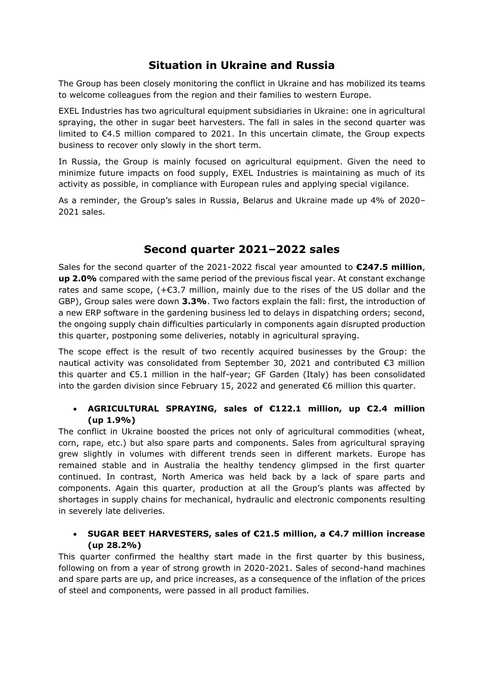## **Situation in Ukraine and Russia**

The Group has been closely monitoring the conflict in Ukraine and has mobilized its teams to welcome colleagues from the region and their families to western Europe.

EXEL Industries has two agricultural equipment subsidiaries in Ukraine: one in agricultural spraying, the other in sugar beet harvesters. The fall in sales in the second quarter was limited to €4.5 million compared to 2021. In this uncertain climate, the Group expects business to recover only slowly in the short term.

In Russia, the Group is mainly focused on agricultural equipment. Given the need to minimize future impacts on food supply, EXEL Industries is maintaining as much of its activity as possible, in compliance with European rules and applying special vigilance.

As a reminder, the Group's sales in Russia, Belarus and Ukraine made up 4% of 2020– 2021 sales.

### **Second quarter 2021–2022 sales**

Sales for the second quarter of the 2021-2022 fiscal year amounted to **€247.5 million**, **up 2.0%** compared with the same period of the previous fiscal year. At constant exchange rates and same scope,  $(+\epsilon)3.7$  million, mainly due to the rises of the US dollar and the GBP), Group sales were down **3.3%**. Two factors explain the fall: first, the introduction of a new ERP software in the gardening business led to delays in dispatching orders; second, the ongoing supply chain difficulties particularly in components again disrupted production this quarter, postponing some deliveries, notably in agricultural spraying.

The scope effect is the result of two recently acquired businesses by the Group: the nautical activity was consolidated from September 30, 2021 and contributed  $\epsilon$ 3 million this quarter and €5.1 million in the half-year; GF Garden (Italy) has been consolidated into the garden division since February 15, 2022 and generated  $\epsilon$ 6 million this quarter.

#### • **AGRICULTURAL SPRAYING, sales of €122.1 million, up €2.4 million (up 1.9%)**

The conflict in Ukraine boosted the prices not only of agricultural commodities (wheat, corn, rape, etc.) but also spare parts and components. Sales from agricultural spraying grew slightly in volumes with different trends seen in different markets. Europe has remained stable and in Australia the healthy tendency glimpsed in the first quarter continued. In contrast, North America was held back by a lack of spare parts and components. Again this quarter, production at all the Group's plants was affected by shortages in supply chains for mechanical, hydraulic and electronic components resulting in severely late deliveries.

### • **SUGAR BEET HARVESTERS, sales of €21.5 million, a €4.7 million increase (up 28.2%)**

This quarter confirmed the healthy start made in the first quarter by this business, following on from a year of strong growth in 2020-2021. Sales of second-hand machines and spare parts are up, and price increases, as a consequence of the inflation of the prices of steel and components, were passed in all product families.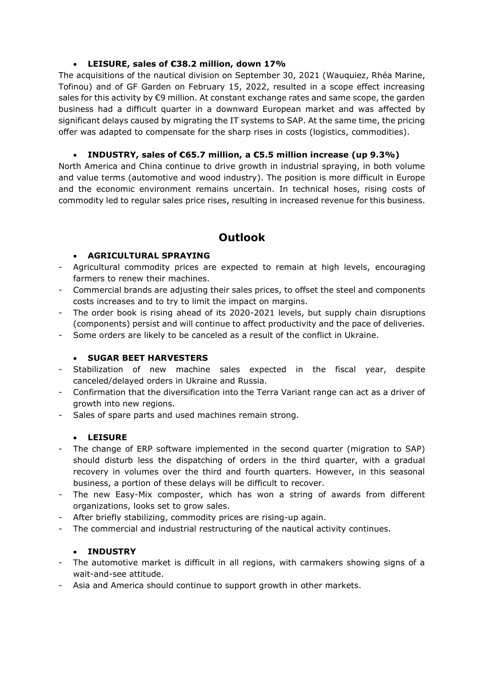#### • **LEISURE, sales of €38.2 million, down 17%**

The acquisitions of the nautical division on September 30, 2021 (Wauquiez, Rhéa Marine, Tofinou) and of GF Garden on February 15, 2022, resulted in a scope effect increasing sales for this activity by €9 million. At constant exchange rates and same scope, the garden business had a difficult quarter in a downward European market and was affected by significant delays caused by migrating the IT systems to SAP. At the same time, the pricing offer was adapted to compensate for the sharp rises in costs (logistics, commodities).

### • **INDUSTRY, sales of €65.7 million, a €5.5 million increase (up 9.3%)**

North America and China continue to drive growth in industrial spraying, in both volume and value terms (automotive and wood industry). The position is more difficult in Europe and the economic environment remains uncertain. In technical hoses, rising costs of commodity led to regular sales price rises, resulting in increased revenue for this business.

### **Outlook**

### • **AGRICULTURAL SPRAYING**

- Agricultural commodity prices are expected to remain at high levels, encouraging farmers to renew their machines.
- Commercial brands are adjusting their sales prices, to offset the steel and components costs increases and to try to limit the impact on margins.
- The order book is rising ahead of its 2020-2021 levels, but supply chain disruptions (components) persist and will continue to affect productivity and the pace of deliveries.
- Some orders are likely to be canceled as a result of the conflict in Ukraine.

### • **SUGAR BEET HARVESTERS**

- Stabilization of new machine sales expected in the fiscal year, despite canceled/delayed orders in Ukraine and Russia.
- Confirmation that the diversification into the Terra Variant range can act as a driver of growth into new regions.
- Sales of spare parts and used machines remain strong.

### • **LEISURE**

- The change of ERP software implemented in the second quarter (migration to SAP) should disturb less the dispatching of orders in the third quarter, with a gradual recovery in volumes over the third and fourth quarters. However, in this seasonal business, a portion of these delays will be difficult to recover.
- The new Easy-Mix composter, which has won a string of awards from different organizations, looks set to grow sales.
- After briefly stabilizing, commodity prices are rising-up again.
- The commercial and industrial restructuring of the nautical activity continues.

### • **INDUSTRY**

- The automotive market is difficult in all regions, with carmakers showing signs of a wait-and-see attitude.
- Asia and America should continue to support growth in other markets.